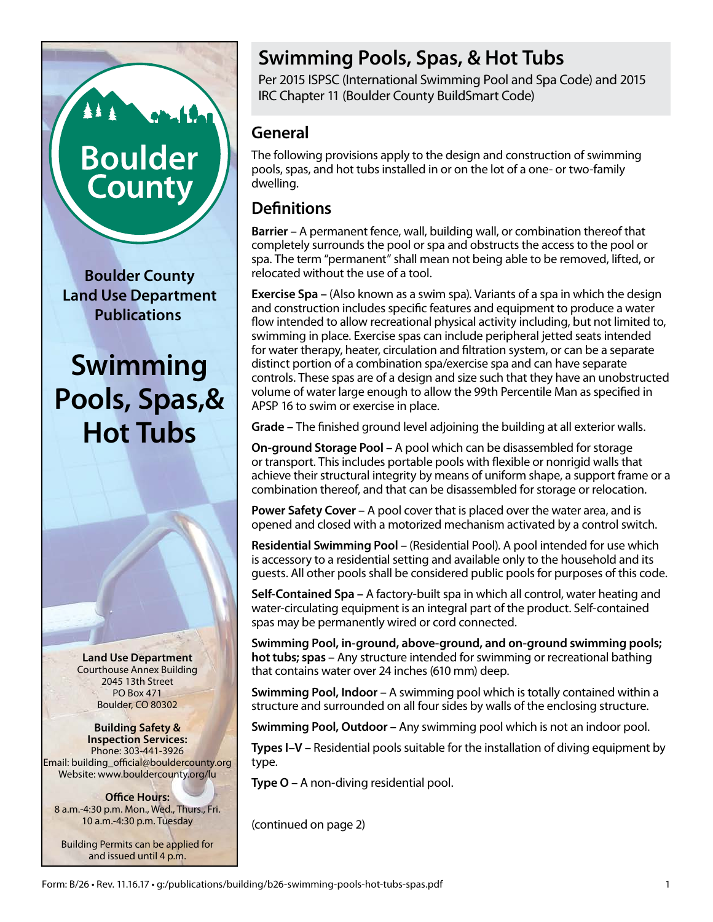# **Swimming Pools, Spas, & Hot Tubs**

Per 2015 ISPSC (International Swimming Pool and Spa Code) and 2015 IRC Chapter 11 (Boulder County BuildSmart Code)

# **General**

The following provisions apply to the design and construction of swimming pools, spas, and hot tubs installed in or on the lot of a one- or two-family dwelling.

# **Definitions**

**Barrier –** A permanent fence, wall, building wall, or combination thereof that completely surrounds the pool or spa and obstructs the access to the pool or spa. The term "permanent" shall mean not being able to be removed, lifted, or relocated without the use of a tool.

**Exercise Spa –** (Also known as a swim spa). Variants of a spa in which the design and construction includes specific features and equipment to produce a water flow intended to allow recreational physical activity including, but not limited to, swimming in place. Exercise spas can include peripheral jetted seats intended for water therapy, heater, circulation and filtration system, or can be a separate distinct portion of a combination spa/exercise spa and can have separate controls. These spas are of a design and size such that they have an unobstructed volume of water large enough to allow the 99th Percentile Man as specified in APSP 16 to swim or exercise in place.

**Grade –** The finished ground level adjoining the building at all exterior walls.

**On-ground Storage Pool –** A pool which can be disassembled for storage or transport. This includes portable pools with flexible or nonrigid walls that achieve their structural integrity by means of uniform shape, a support frame or a combination thereof, and that can be disassembled for storage or relocation.

**Power Safety Cover –** A pool cover that is placed over the water area, and is opened and closed with a motorized mechanism activated by a control switch.

**Residential Swimming Pool –** (Residential Pool). A pool intended for use which is accessory to a residential setting and available only to the household and its guests. All other pools shall be considered public pools for purposes of this code.

**Self-Contained Spa –** A factory-built spa in which all control, water heating and water-circulating equipment is an integral part of the product. Self-contained spas may be permanently wired or cord connected.

**Swimming Pool, in-ground, above-ground, and on-ground swimming pools; hot tubs; spas –** Any structure intended for swimming or recreational bathing that contains water over 24 inches (610 mm) deep.

**Swimming Pool, Indoor –** A swimming pool which is totally contained within a structure and surrounded on all four sides by walls of the enclosing structure.

**Swimming Pool, Outdoor –** Any swimming pool which is not an indoor pool.

**Types I–V –** Residential pools suitable for the installation of diving equipment by type.

**Type O –** A non-diving residential pool.

(continued on page 2)

**Boulder County Land Use Department Publications**

**Boulder** 

County

**Swimming Pools, Spas,& Hot Tubs**

> **Land Use Department** Courthouse Annex Building 2045 13th Street PO Box 471 Boulder, CO 80302

**Building Safety & Inspection Services:** Phone: 303-441-3926 Email: building\_official@bouldercounty.org Website: www.bouldercounty.org/lu

**Office Hours:** 8 a.m.-4:30 p.m. Mon., Wed., Thurs., Fri. 10 a.m.-4:30 p.m. Tuesday

Building Permits can be applied for and issued until 4 p.m.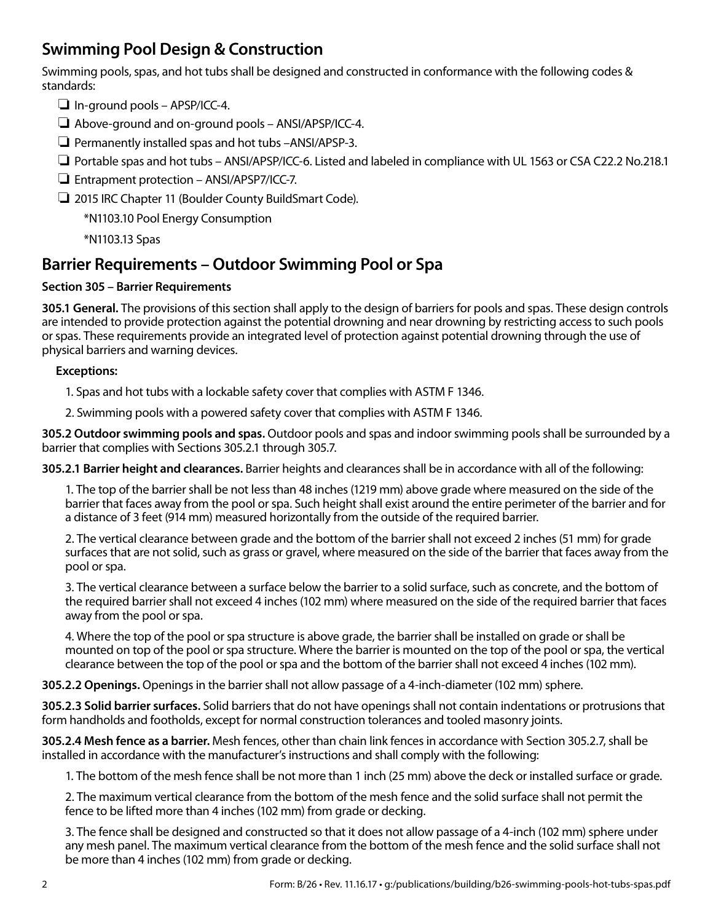# **Swimming Pool Design & Construction**

Swimming pools, spas, and hot tubs shall be designed and constructed in conformance with the following codes & standards:

- $\Box$  In-ground pools APSP/ICC-4.
- $\Box$  Above-ground and on-ground pools ANSI/APSP/ICC-4.
- $\Box$  Permanently installed spas and hot tubs -ANSI/APSP-3.
- $\Box$  Portable spas and hot tubs ANSI/APSP/ICC-6. Listed and labeled in compliance with UL 1563 or CSA C22.2 No.218.1
- $\Box$  Entrapment protection ANSI/APSP7/ICC-7.
- □ 2015 IRC Chapter 11 (Boulder County BuildSmart Code).

\*N1103.10 Pool Energy Consumption

\*N1103.13 Spas

### **Barrier Requirements – Outdoor Swimming Pool or Spa**

#### **Section 305 – Barrier Requirements**

**305.1 General.** The provisions of this section shall apply to the design of barriers for pools and spas. These design controls are intended to provide protection against the potential drowning and near drowning by restricting access to such pools or spas. These requirements provide an integrated level of protection against potential drowning through the use of physical barriers and warning devices.

#### **Exceptions:**

1. Spas and hot tubs with a lockable safety cover that complies with ASTM F 1346.

2. Swimming pools with a powered safety cover that complies with ASTM F 1346.

**305.2 Outdoor swimming pools and spas.** Outdoor pools and spas and indoor swimming pools shall be surrounded by a barrier that complies with Sections 305.2.1 through 305.7.

**305.2.1 Barrier height and clearances.** Barrier heights and clearances shall be in accordance with all of the following:

1. The top of the barrier shall be not less than 48 inches (1219 mm) above grade where measured on the side of the barrier that faces away from the pool or spa. Such height shall exist around the entire perimeter of the barrier and for a distance of 3 feet (914 mm) measured horizontally from the outside of the required barrier.

2. The vertical clearance between grade and the bottom of the barrier shall not exceed 2 inches (51 mm) for grade surfaces that are not solid, such as grass or gravel, where measured on the side of the barrier that faces away from the pool or spa.

3. The vertical clearance between a surface below the barrier to a solid surface, such as concrete, and the bottom of the required barrier shall not exceed 4 inches (102 mm) where measured on the side of the required barrier that faces away from the pool or spa.

4. Where the top of the pool or spa structure is above grade, the barrier shall be installed on grade or shall be mounted on top of the pool or spa structure. Where the barrier is mounted on the top of the pool or spa, the vertical clearance between the top of the pool or spa and the bottom of the barrier shall not exceed 4 inches (102 mm).

**305.2.2 Openings.** Openings in the barrier shall not allow passage of a 4-inch-diameter (102 mm) sphere.

**305.2.3 Solid barrier surfaces.** Solid barriers that do not have openings shall not contain indentations or protrusions that form handholds and footholds, except for normal construction tolerances and tooled masonry joints.

**305.2.4 Mesh fence as a barrier.** Mesh fences, other than chain link fences in accordance with Section 305.2.7, shall be installed in accordance with the manufacturer's instructions and shall comply with the following:

1. The bottom of the mesh fence shall be not more than 1 inch (25 mm) above the deck or installed surface or grade.

2. The maximum vertical clearance from the bottom of the mesh fence and the solid surface shall not permit the fence to be lifted more than 4 inches (102 mm) from grade or decking.

3. The fence shall be designed and constructed so that it does not allow passage of a 4-inch (102 mm) sphere under any mesh panel. The maximum vertical clearance from the bottom of the mesh fence and the solid surface shall not be more than 4 inches (102 mm) from grade or decking.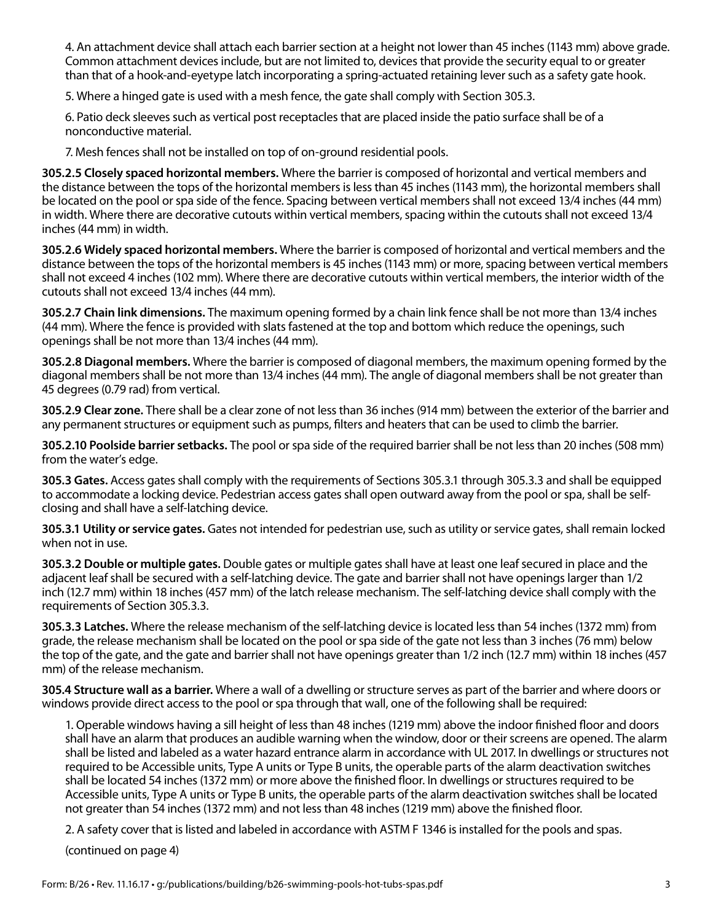4. An attachment device shall attach each barrier section at a height not lower than 45 inches (1143 mm) above grade. Common attachment devices include, but are not limited to, devices that provide the security equal to or greater than that of a hook-and-eyetype latch incorporating a spring-actuated retaining lever such as a safety gate hook.

5. Where a hinged gate is used with a mesh fence, the gate shall comply with Section 305.3.

6. Patio deck sleeves such as vertical post receptacles that are placed inside the patio surface shall be of a nonconductive material.

7. Mesh fences shall not be installed on top of on-ground residential pools.

**305.2.5 Closely spaced horizontal members.** Where the barrier is composed of horizontal and vertical members and the distance between the tops of the horizontal members is less than 45 inches (1143 mm), the horizontal members shall be located on the pool or spa side of the fence. Spacing between vertical members shall not exceed 13/4 inches (44 mm) in width. Where there are decorative cutouts within vertical members, spacing within the cutouts shall not exceed 13/4 inches (44 mm) in width.

**305.2.6 Widely spaced horizontal members.** Where the barrier is composed of horizontal and vertical members and the distance between the tops of the horizontal members is 45 inches (1143 mm) or more, spacing between vertical members shall not exceed 4 inches (102 mm). Where there are decorative cutouts within vertical members, the interior width of the cutouts shall not exceed 13/4 inches (44 mm).

**305.2.7 Chain link dimensions.** The maximum opening formed by a chain link fence shall be not more than 13/4 inches (44 mm). Where the fence is provided with slats fastened at the top and bottom which reduce the openings, such openings shall be not more than 13/4 inches (44 mm).

**305.2.8 Diagonal members.** Where the barrier is composed of diagonal members, the maximum opening formed by the diagonal members shall be not more than 13/4 inches (44 mm). The angle of diagonal members shall be not greater than 45 degrees (0.79 rad) from vertical.

**305.2.9 Clear zone.** There shall be a clear zone of not less than 36 inches (914 mm) between the exterior of the barrier and any permanent structures or equipment such as pumps, filters and heaters that can be used to climb the barrier.

**305.2.10 Poolside barrier setbacks.** The pool or spa side of the required barrier shall be not less than 20 inches (508 mm) from the water's edge.

**305.3 Gates.** Access gates shall comply with the requirements of Sections 305.3.1 through 305.3.3 and shall be equipped to accommodate a locking device. Pedestrian access gates shall open outward away from the pool or spa, shall be selfclosing and shall have a self-latching device.

**305.3.1 Utility or service gates.** Gates not intended for pedestrian use, such as utility or service gates, shall remain locked when not in use.

**305.3.2 Double or multiple gates.** Double gates or multiple gates shall have at least one leaf secured in place and the adjacent leaf shall be secured with a self-latching device. The gate and barrier shall not have openings larger than 1/2 inch (12.7 mm) within 18 inches (457 mm) of the latch release mechanism. The self-latching device shall comply with the requirements of Section 305.3.3.

**305.3.3 Latches.** Where the release mechanism of the self-latching device is located less than 54 inches (1372 mm) from grade, the release mechanism shall be located on the pool or spa side of the gate not less than 3 inches (76 mm) below the top of the gate, and the gate and barrier shall not have openings greater than 1/2 inch (12.7 mm) within 18 inches (457 mm) of the release mechanism.

**305.4 Structure wall as a barrier.** Where a wall of a dwelling or structure serves as part of the barrier and where doors or windows provide direct access to the pool or spa through that wall, one of the following shall be required:

1. Operable windows having a sill height of less than 48 inches (1219 mm) above the indoor finished floor and doors shall have an alarm that produces an audible warning when the window, door or their screens are opened. The alarm shall be listed and labeled as a water hazard entrance alarm in accordance with UL 2017. In dwellings or structures not required to be Accessible units, Type A units or Type B units, the operable parts of the alarm deactivation switches shall be located 54 inches (1372 mm) or more above the finished floor. In dwellings or structures required to be Accessible units, Type A units or Type B units, the operable parts of the alarm deactivation switches shall be located not greater than 54 inches (1372 mm) and not less than 48 inches (1219 mm) above the finished floor.

2. A safety cover that is listed and labeled in accordance with ASTM F 1346 is installed for the pools and spas.

(continued on page 4)